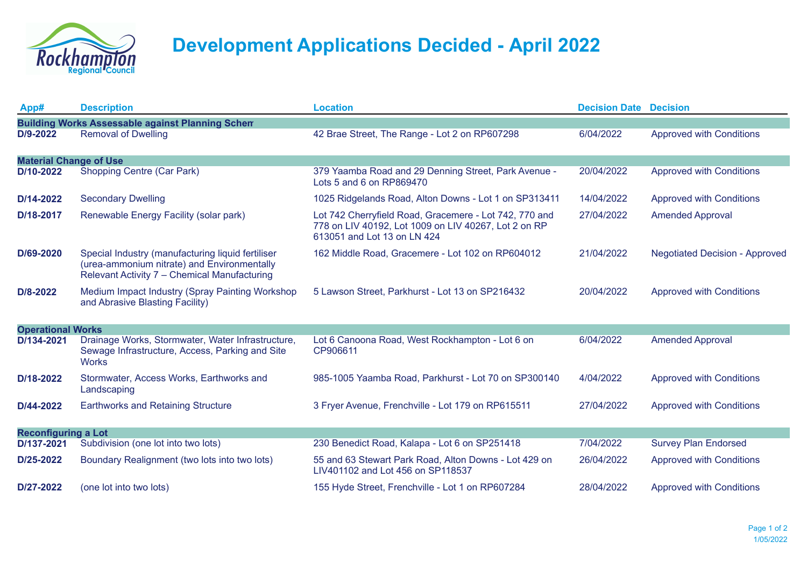

## **Development Applications Decided - April 2022**

| App#                                                    | <b>Description</b>                                                                                                                               | <b>Location</b>                                                                                                                               | <b>Decision Date Decision</b> |                                       |  |  |  |
|---------------------------------------------------------|--------------------------------------------------------------------------------------------------------------------------------------------------|-----------------------------------------------------------------------------------------------------------------------------------------------|-------------------------------|---------------------------------------|--|--|--|
| <b>Building Works Assessable against Planning Schem</b> |                                                                                                                                                  |                                                                                                                                               |                               |                                       |  |  |  |
| D/9-2022                                                | <b>Removal of Dwelling</b>                                                                                                                       | 42 Brae Street, The Range - Lot 2 on RP607298                                                                                                 | 6/04/2022                     | <b>Approved with Conditions</b>       |  |  |  |
| <b>Material Change of Use</b>                           |                                                                                                                                                  |                                                                                                                                               |                               |                                       |  |  |  |
| D/10-2022                                               | Shopping Centre (Car Park)                                                                                                                       | 379 Yaamba Road and 29 Denning Street, Park Avenue -<br>Lots 5 and 6 on RP869470                                                              | 20/04/2022                    | <b>Approved with Conditions</b>       |  |  |  |
| D/14-2022                                               | <b>Secondary Dwelling</b>                                                                                                                        | 1025 Ridgelands Road, Alton Downs - Lot 1 on SP313411                                                                                         | 14/04/2022                    | <b>Approved with Conditions</b>       |  |  |  |
| D/18-2017                                               | Renewable Energy Facility (solar park)                                                                                                           | Lot 742 Cherryfield Road, Gracemere - Lot 742, 770 and<br>778 on LIV 40192, Lot 1009 on LIV 40267, Lot 2 on RP<br>613051 and Lot 13 on LN 424 | 27/04/2022                    | <b>Amended Approval</b>               |  |  |  |
| D/69-2020                                               | Special Industry (manufacturing liquid fertiliser<br>(urea-ammonium nitrate) and Environmentally<br>Relevant Activity 7 - Chemical Manufacturing | 162 Middle Road, Gracemere - Lot 102 on RP604012                                                                                              | 21/04/2022                    | <b>Negotiated Decision - Approved</b> |  |  |  |
| D/8-2022                                                | Medium Impact Industry (Spray Painting Workshop<br>and Abrasive Blasting Facility)                                                               | 5 Lawson Street, Parkhurst - Lot 13 on SP216432                                                                                               | 20/04/2022                    | <b>Approved with Conditions</b>       |  |  |  |
| <b>Operational Works</b>                                |                                                                                                                                                  |                                                                                                                                               |                               |                                       |  |  |  |
| D/134-2021                                              | Drainage Works, Stormwater, Water Infrastructure,<br>Sewage Infrastructure, Access, Parking and Site<br><b>Works</b>                             | Lot 6 Canoona Road, West Rockhampton - Lot 6 on<br>CP906611                                                                                   | 6/04/2022                     | <b>Amended Approval</b>               |  |  |  |
| D/18-2022                                               | Stormwater, Access Works, Earthworks and<br>Landscaping                                                                                          | 985-1005 Yaamba Road, Parkhurst - Lot 70 on SP300140                                                                                          | 4/04/2022                     | <b>Approved with Conditions</b>       |  |  |  |
| D/44-2022                                               | <b>Earthworks and Retaining Structure</b>                                                                                                        | 3 Fryer Avenue, Frenchville - Lot 179 on RP615511                                                                                             | 27/04/2022                    | <b>Approved with Conditions</b>       |  |  |  |
| <b>Reconfiguring a Lot</b>                              |                                                                                                                                                  |                                                                                                                                               |                               |                                       |  |  |  |
| D/137-2021                                              | Subdivision (one lot into two lots)                                                                                                              | 230 Benedict Road, Kalapa - Lot 6 on SP251418                                                                                                 | 7/04/2022                     | <b>Survey Plan Endorsed</b>           |  |  |  |
| D/25-2022                                               | Boundary Realignment (two lots into two lots)                                                                                                    | 55 and 63 Stewart Park Road, Alton Downs - Lot 429 on<br>LIV401102 and Lot 456 on SP118537                                                    | 26/04/2022                    | <b>Approved with Conditions</b>       |  |  |  |
| D/27-2022                                               | (one lot into two lots)                                                                                                                          | 155 Hyde Street, Frenchville - Lot 1 on RP607284                                                                                              | 28/04/2022                    | <b>Approved with Conditions</b>       |  |  |  |